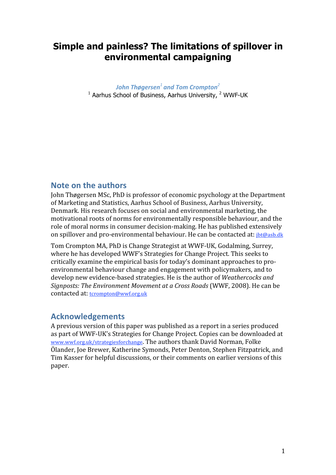# **Simple and painless? The limitations of spillover in environmental campaigning**

*John Thøgersen<sup>1</sup>and Tom Crompton<sup>2</sup>*  $^1$  Aarhus School of Business, Aarhus University,  $^2$  WWF-UK

## **Note on the authors**

John Thøgersen MSc, PhD is professor of economic psychology at the Department of Marketing and Statistics, Aarhus School of Business, Aarhus University, Denmark. His research focuses on social and environmental marketing, the motivational roots of norms for environmentally responsible behaviour, and the role of moral norms in consumer decision‐making. He has published extensively on spillover and pro-environmental behaviour. He can be contacted at:  $ibt@asb.dk$ 

Tom Crompton MA, PhD is Change Strategist at WWF‐UK, Godalming, Surrey, where he has developed WWF's Strategies for Change Project. This seeks to critically examine the empirical basis for today's dominant approaches to pro‐ environmental behaviour change and engagement with policymakers, and to develop new evidence‐based strategies. He is the author of *Weathercocks and Signposts: The Environment Movement at a Cross Roads* (WWF, 2008). He can be contacted at: tcrompton@wwf.org.uk

## **Acknowledgements**

A previous version of this paper was published as a report in a series produced as part of WWF‐UK's Strategies for Change Project. Copies can be downloaded at www.wwf.org.uk/strategiesforchange. The authors thank David Norman, Folke Ölander, Joe Brewer, Katherine Symonds, Peter Denton, Stephen Fitzpatrick, and Tim Kasser for helpful discussions, or their comments on earlier versions of this paper.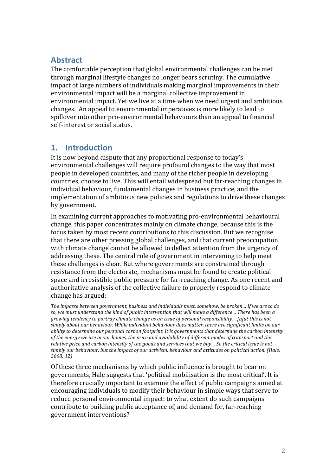## **Abstract**

The comfortable perception that global environmental challenges can be met through marginal lifestyle changes no longer bears scrutiny. The cumulative impact of large numbers of individuals making marginal improvements in their environmental impact will be a marginal collective improvement in environmental impact. Yet we live at a time when we need urgent and ambitious changes. An appeal to environmental imperatives is more likely to lead to spillover into other pro-environmental behaviours than an appeal to financial self‐interest or social status.

## **1. Introduction**

It is now beyond dispute that any proportional response to today's environmental challenges will require profound changes to the way that most people in developed countries, and many of the richer people in developing countries, choose to live. This will entail widespread but far‐reaching changes in individual behaviour, fundamental changes in business practice, and the implementation of ambitious new policies and regulations to drive these changes by government.

In examining current approaches to motivating pro‐environmental behavioural change, this paper concentrates mainly on climate change, because this is the focus taken by most recent contributions to this discussion. But we recognise that there are other pressing global challenges, and that current preoccupation with climate change cannot be allowed to deflect attention from the urgency of addressing these. The central role of government in intervening to help meet these challenges is clear. But where governments are constrained through resistance from the electorate, mechanisms must be found to create political space and irresistible public pressure for far‐reaching change. As one recent and authoritative analysis of the collective failure to properly respond to climate change has argued:

*The impasse between government, business and individuals must, somehow, be broken… If we are to do so, we must understand the kind of public intervention that will make a difference… There has been a growing tendency to portray climate change as an issue of personal responsibility… [b]ut this is not simply about our behaviour. While individual behaviour does matter, there are significant limits on our ability to determine our personal carbon footprint. It is governments that determine the carbon intensity of the energy we use in our homes, the price and availability of different modes of transport and the relative price and carbon intensity of the goods and services that we buy… So the critical issue is not simply our behaviour, but the impact of our activism, behaviour and attitudes on political action. (Hale, 2008: 12)*

Of these three mechanisms by which public influence is brought to bear on governments, Hale suggests that 'political mobilisation is the most critical'. It is therefore crucially important to examine the effect of public campaigns aimed at encouraging individuals to modify their behaviour in simple ways that serve to reduce personal environmental impact: to what extent do such campaigns contribute to building public acceptance of, and demand for, far‐reaching government interventions?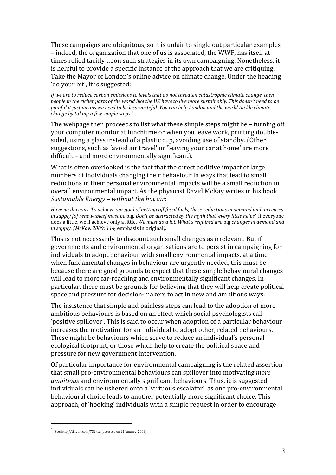These campaigns are ubiquitous, so it is unfair to single out particular examples – indeed, the organization that one of us is associated, the WWF, has itself at times relied tacitly upon such strategies in its own campaigning. Nonetheless, it is helpful to provide a specific instance of the approach that we are critiquing. Take the Mayor of London's online advice on climate change. Under the heading 'do your bit', it is suggested:

*If we are to reduce carbon emissions to levels that do not threaten catastrophic climate change, then people in the richer parts of the world like the UK have to live more sustainably. This doesn't need to be painful it just means we need to be less wasteful. You can help London and the world tackle climate change by taking a few simple steps.1*

The webpage then proceeds to list what these simple steps might be – turning off your computer monitor at lunchtime or when you leave work, printing double‐ sided, using a glass instead of a plastic cup, avoiding use of standby. (Other suggestions, such as 'avoid air travel' or 'leaving your car at home' are more difficult – and more environmentally significant).

What is often overlooked is the fact that the direct additive impact of large numbers of individuals changing their behaviour in ways that lead to small reductions in their personal environmental impacts will be a small reduction in overall environmental impact. As the physicist David McKay writes in his book *Sustainable Energy – without the hot air*:

*Have no illusions. To achieve our goal of getting off fossil fuels, these reductions in demand and increases in supply [of renewables] must be* big*. Don't be distracted by the myth that 'every little helps'.* If everyone does a little, we'll achieve only a little. *We must do a lot. What's required are* big *changes in demand and in supply. (McKay, 2009: 114,* emphasis in original*).*

This is not necessarily to discount such small changes as irrelevant. But if governments and environmental organisations are to persist in campaigning for individuals to adopt behaviour with small environmental impacts, at a time when fundamental changes in behaviour are urgently needed, this must be because there are good grounds to expect that these simple behavioural changes will lead to more far-reaching and environmentally significant changes. In particular, there must be grounds for believing that they will help create political space and pressure for decision‐makers to act in new and ambitious ways.

The insistence that simple and painless steps can lead to the adoption of more ambitious behaviours is based on an effect which social psychologists call 'positive spillover'. This is said to occur when adoption of a particular behaviour increases the motivation for an individual to adopt other, related behaviours. These might be behaviours which serve to reduce an individual's personal ecological footprint, or those which help to create the political space and pressure for new government intervention.

Of particular importance for environmental campaigning is the related assertion that small pro‐environmental behaviours can spillover into motivating *more ambitious* and environmentally significant behaviours. Thus, it is suggested, individuals can be ushered onto a 'virtuous escalator', as one pro‐environmental behavioural choice leads to another potentially more significant choice. This approach, of 'hooking' individuals with a simple request in order to encourage

<sup>1</sup> See: http://tinyurl.com/732kea (accessed on 21 January, 2009).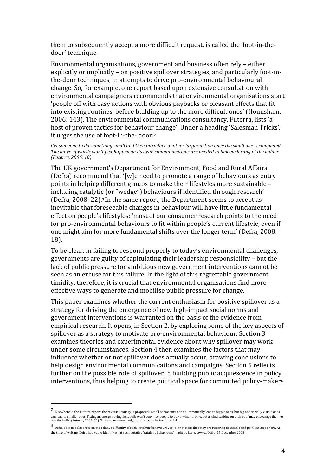them to subsequently accept a more difficult request, is called the 'foot‐in‐the‐ door' technique.

Environmental organisations, government and business often rely – either explicitly or implicitly – on positive spillover strategies, and particularly foot-inthe‐door techniques, in attempts to drive pro‐environmental behavioural change. So, for example, one report based upon extensive consultation with environmental campaigners recommends that environmental organisations start 'people off with easy actions with obvious paybacks or pleasant effects that fit into existing routines, before building up to the more difficult ones' (Hounsham, 2006: 143). The environmental communications consultancy, Futerra, lists 'a host of proven tactics for behaviour change'. Under a heading 'Salesman Tricks'*,*  it urges the use of foot‐in‐the‐ door:2

*Get someone to do something small and then introduce another larger action once the small one is completed. The move upwards won't just happen on its own: communications are needed to link each rung of the ladder. (Futerra, 2006: 10)*

The UK government's Department for Environment, Food and Rural Affairs (Defra) recommend that '[w]e need to promote a range of behaviours as entry points in helping different groups to make their lifestyles more sustainable – including catalytic (or "wedge") behaviours if identified through research' (Defra, 2008: 22).3 In the same report, the Department seems to accept as inevitable that foreseeable changes in behaviour will have little fundamental effect on people's lifestyles: 'most of our consumer research points to the need for pro‐environmental behaviours to fit within people's current lifestyle, even if one might aim for more fundamental shifts over the longer term' (Defra, 2008: 18).

To be clear: in failing to respond properly to today's environmental challenges, governments are guilty of capitulating their leadership responsibility – but the lack of public pressure for ambitious new government interventions cannot be seen as an excuse for this failure. In the light of this regrettable government timidity, therefore, it is crucial that environmental organisations find more effective ways to generate and mobilise public pressure for change.

This paper examines whether the current enthusiasm for positive spillover as a strategy for driving the emergence of new high‐impact social norms and government interventions is warranted on the basis of the evidence from empirical research. It opens, in Section 2, by exploring some of the key aspects of spillover as a strategy to motivate pro‐environmental behaviour. Section 3 examines theories and experimental evidence about why spillover may work under some circumstances. Section 4 then examines the factors that may influence whether or not spillover does actually occur, drawing conclusions to help design environmental communications and campaigns. Section 5 reflects further on the possible role of spillover in building public acquiescence in policy interventions, thus helping to create political space for committed policy-makers

<sup>2</sup> Elsewhere in the Futerra report, the reverse strategy is proposed: 'Small behaviours don't automatically lead to bigger ones, but big and socially visible ones can lead to smaller ones. Fitting an energy saving light bulb won't convince people to buy a wind turbine, but a wind turbine on their roof may encourage them to buy the bulb.' (Futerra, 2006: 12). This seems more likely, as we discuss in Section 4.2.4.

<sup>3</sup> Defra does not elaborate on the relative difficulty of such 'catalytic behaviours', so it is not clear that they are referring to 'simple and painless' steps here. At the time of writing, Defra had yet to identify what such putative 'catalytic behaviours' might be (*pers. comm.*, Defra, 15 December 2008).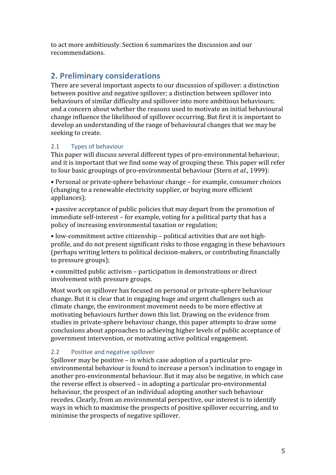to act more ambitiously. Section 6 summarizes the discussion and our recommendations.

# **2. Preliminary considerations**

There are several important aspects to our discussion of spillover: a distinction between positive and negative spillover; a distinction between spillover into behaviours of similar difficulty and spillover into more ambitious behaviours; and a concern about whether the reasons used to motivate an initial behavioural change influence the likelihood of spillover occurring. But first it is important to develop an understanding of the range of behavioural changes that we may be seeking to create.

## 2.1 Types
of
behaviour

This paper will discuss several different types of pro‐environmental behaviour, and it is important that we find some way of grouping these. This paper will refer to four basic groupings of pro‐environmental behaviour (Stern *et al*., 1999):

• Personal or private‐sphere behaviour change – for example, consumer choices (changing to a renewable electricity supplier, or buying more efficient appliances);

• passive acceptance of public policies that may depart from the promotion of immediate self‐interest – for example, voting for a political party that has a policy of increasing environmental taxation or regulation;

• low-commitment active citizenship – political activities that are not highprofile, and do not present significant risks to those engaging in these behaviours (perhaps writing letters to political decision‐makers, or contributing financially to pressure groups);

• committed public activism – participation in demonstrations or direct involvement with pressure groups.

Most work on spillover has focused on personal or private‐sphere behaviour change. But it is clear that in engaging huge and urgent challenges such as climate change, the environment movement needs to be more effective at motivating behaviours further down this list. Drawing on the evidence from studies in private‐sphere behaviour change, this paper attempts to draw some conclusions about approaches to achieving higher levels of public acceptance of government intervention, or motivating active political engagement.

## 2.2 Positive
and
negative
spillover

Spillover may be positive – in which case adoption of a particular pro‐ environmental behaviour is found to increase a person's inclination to engage in another pro‐environmental behaviour. But it may also be negative, in which case the reverse effect is observed – in adopting a particular pro‐environmental behaviour, the prospect of an individual adopting another such behaviour recedes. Clearly, from an environmental perspective, our interest is to identify ways in which to maximise the prospects of positive spillover occurring, and to minimise the prospects of negative spillover.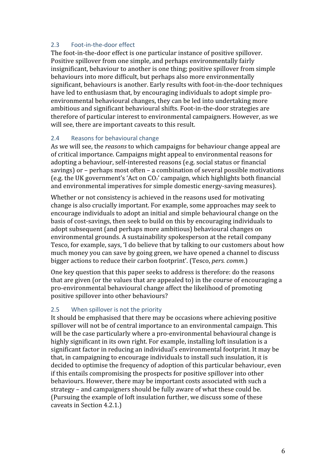## 2.3 Foot‐in‐the‐door
effect

The foot-in-the-door effect is one particular instance of positive spillover. Positive spillover from one simple, and perhaps environmentally fairly insignificant, behaviour to another is one thing; positive spillover from simple behaviours into more difficult, but perhaps also more environmentally significant, behaviours is another. Early results with foot‐in‐the‐door techniques have led to enthusiasm that, by encouraging individuals to adopt simple proenvironmental behavioural changes, they can be led into undertaking more ambitious and significant behavioural shifts. Foot‐in‐the‐door strategies are therefore of particular interest to environmental campaigners. However, as we will see, there are important caveats to this result.

### 2.4 Reasons
for
behavioural
change

As we will see, the *reasons* to which campaigns for behaviour change appeal are of critical importance. Campaigns might appeal to environmental reasons for adopting a behaviour, self‐interested reasons (e.g. social status or financial savings) or – perhaps most often – a combination of several possible motivations (e.g. the UK government's 'Act on  $CO<sub>2</sub>$ ' campaign, which highlights both financial and environmental imperatives for simple domestic energy‐saving measures).

Whether or not consistency is achieved in the reasons used for motivating change is also crucially important. For example, some approaches may seek to encourage individuals to adopt an initial and simple behavioural change on the basis of cost‐savings, then seek to build on this by encouraging individuals to adopt subsequent (and perhaps more ambitious) behavioural changes on environmental grounds. A sustainability spokesperson at the retail company Tesco, for example, says, 'I do believe that by talking to our customers about how much money you can save by going green, we have opened a channel to discuss bigger actions to reduce their carbon footprint'. (Tesco, *pers. comm*.)

One key question that this paper seeks to address is therefore: do the reasons that are given (or the values that are appealed to) in the course of encouraging a pro‐environmental behavioural change affect the likelihood of promoting positive spillover into other behaviours?

## 2.5 When
spillover
is
not
the
priority

It should be emphasised that there may be occasions where achieving positive spillover will not be of central importance to an environmental campaign. This will be the case particularly where a pro-environmental behavioural change is highly significant in its own right. For example, installing loft insulation is a significant factor in reducing an individual's environmental footprint. It may be that, in campaigning to encourage individuals to install such insulation, it is decided to optimise the frequency of adoption of this particular behaviour, even if this entails compromising the prospects for positive spillover into other behaviours. However, there may be important costs associated with such a strategy – and campaigners should be fully aware of what these could be. (Pursuing the example of loft insulation further, we discuss some of these caveats in Section 4.2.1.)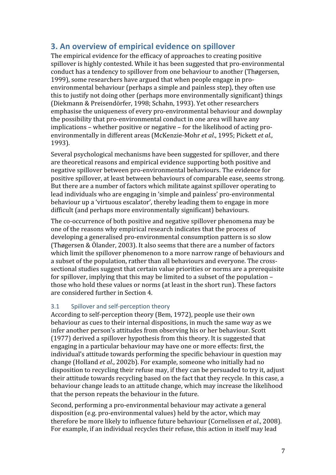# **3. An overview of empirical evidence on spillover**

The empirical evidence for the efficacy of approaches to creating positive spillover is highly contested. While it has been suggested that pro-environmental conduct has a tendency to spillover from one behaviour to another (Thøgersen, 1999), some researchers have argued that when people engage in pro‐ environmental behaviour (perhaps a simple and painless step), they often use this to justify not doing other (perhaps more environmentally significant) things (Diekmann & Preisendörfer, 1998; Schahn, 1993). Yet other researchers emphasise the uniqueness of every pro‐environmental behaviour and downplay the possibility that pro‐environmental conduct in one area will have any implications – whether positive or negative – for the likelihood of acting pro‐ environmentally in different areas (McKenzie‐Mohr *et al*., 1995; Pickett *et al.,*  1993).

Several psychological mechanisms have been suggested for spillover, and there are theoretical reasons and empirical evidence supporting both positive and negative spillover between pro‐environmental behaviours. The evidence for positive spillover, at least between behaviours of comparable ease, seems strong. But there are a number of factors which militate against spillover operating to lead individuals who are engaging in 'simple and painless' pro‐environmental behaviour up a 'virtuous escalator', thereby leading them to engage in more difficult (and perhaps more environmentally significant) behaviours.

The co-occurrence of both positive and negative spillover phenomena may be one of the reasons why empirical research indicates that the process of developing a generalised pro‐environmental consumption pattern is so slow (Thøgersen & Ölander, 2003). It also seems that there are a number of factors which limit the spillover phenomenon to a more narrow range of behaviours and a subset of the population, rather than all behaviours and everyone. The cross‐ sectional studies suggest that certain value priorities or norms are a prerequisite for spillover, implying that this may be limited to a subset of the population – those who hold these values or norms (at least in the short run). These factors are considered further in Section 4.

### 3.1 Spillover
and
self‐perception theory

According to self‐perception theory (Bem, 1972), people use their own behaviour as cues to their internal dispositions, in much the same way as we infer another person's attitudes from observing his or her behaviour. Scott (1977) derived a spillover hypothesis from this theory. It is suggested that engaging in a particular behaviour may have one or more effects: first, the individual's attitude towards performing the specific behaviour in question may change (Holland *et al*., 2002b). For example, someone who initially had no disposition to recycling their refuse may, if they can be persuaded to try it, adjust their attitude towards recycling based on the fact that they recycle. In this case, a behaviour change leads to an attitude change, which may increase the likelihood that the person repeats the behaviour in the future.

Second, performing a pro‐environmental behaviour may activate a general disposition (e.g. pro‐environmental values) held by the actor, which may therefore be more likely to influence future behaviour (Cornelissen *et al*., 2008). For example, if an individual recycles their refuse, this action in itself may lead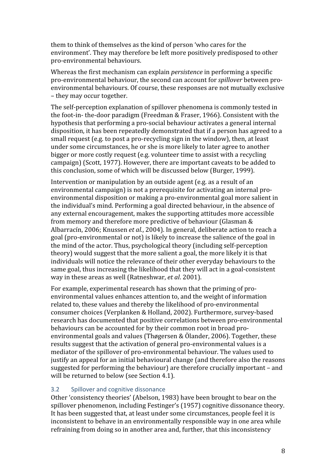them to think of themselves as the kind of person 'who cares for the environment'. They may therefore be left more positively predisposed to other pro‐environmental behaviours.

Whereas the first mechanism can explain *persistence* in performing a specific pro‐environmental behaviour, the second can account for *spillover* between pro‐ environmental behaviours. Of course, these responses are not mutually exclusive – they may occur together.

The self-perception explanation of spillover phenomena is commonly tested in the foot‐in‐ the‐door paradigm (Freedman & Fraser, 1966). Consistent with the hypothesis that performing a pro‐social behaviour activates a general internal disposition, it has been repeatedly demonstrated that if a person has agreed to a small request (e.g. to post a pro‐recycling sign in the window), then, at least under some circumstances, he or she is more likely to later agree to another bigger or more costly request (e.g. volunteer time to assist with a recycling campaign) (Scott, 1977). However, there are important caveats to be added to this conclusion, some of which will be discussed below (Burger, 1999).

Intervention or manipulation by an outside agent (e.g. as a result of an environmental campaign) is not a prerequisite for activating an internal proenvironmental disposition or making a pro‐environmental goal more salient in the individual's mind. Performing a goal directed behaviour, in the absence of any external encouragement, makes the supporting attitudes more accessible from memory and therefore more predictive of behaviour (Glasman & Albarracín, 2006; Knussen *et al.*, 2004). In general, deliberate action to reach a goal (pro‐environmental or not) is likely to increase the salience of the goal in the mind of the actor. Thus, psychological theory (including self‐perception theory) would suggest that the more salient a goal, the more likely it is that individuals will notice the relevance of their other everyday behaviours to the same goal, thus increasing the likelihood that they will act in a goal‐consistent way in these areas as well (Ratneshwar, *et al*. 2001).

For example, experimental research has shown that the priming of pro‐ environmental values enhances attention to, and the weight of information related to, these values and thereby the likelihood of pro‐environmental consumer choices (Verplanken & Holland, 2002). Furthermore, survey‐based research has documented that positive correlations between pro‐environmental behaviours can be accounted for by their common root in broad pro‐ environmental goals and values (Thøgersen & Ölander, 2006). Together, these results suggest that the activation of general pro‐environmental values is a mediator of the spillover of pro‐environmental behaviour. The values used to justify an appeal for an initial behavioural change (and therefore also the reasons suggested for performing the behaviour) are therefore crucially important – and will be returned to below (see Section 4.1).

#### 3.2 Spillover
and
cognitive
dissonance

Other 'consistency theories' (Abelson, 1983) have been brought to bear on the spillover phenomenon, including Festinger's (1957) cognitive dissonance theory. It has been suggested that, at least under some circumstances, people feel it is inconsistent to behave in an environmentally responsible way in one area while refraining from doing so in another area and, further, that this inconsistency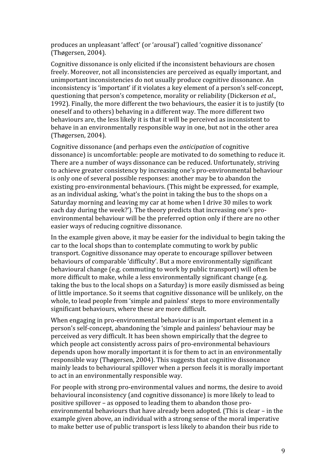produces an unpleasant 'affect' (or 'arousal') called 'cognitive dissonance' (Thøgersen, 2004).

Cognitive dissonance is only elicited if the inconsistent behaviours are chosen freely. Moreover, not all inconsistencies are perceived as equally important, and unimportant inconsistencies do not usually produce cognitive dissonance. An inconsistency is 'important' if it violates a key element of a person's self‐concept, questioning that person's competence, morality or reliability (Dickerson *et al*., 1992). Finally, the more different the two behaviours, the easier it is to justify (to oneself and to others) behaving in a different way. The more different two behaviours are, the less likely it is that it will be perceived as inconsistent to behave in an environmentally responsible way in one, but not in the other area (Thøgersen, 2004).

Cognitive dissonance (and perhaps even the *anticipation* of cognitive dissonance) is uncomfortable: people are motivated to do something to reduce it. There are a number of ways dissonance can be reduced. Unfortunately, striving to achieve greater consistency by increasing one's pro‐environmental behaviour is only one of several possible responses: another may be to abandon the existing pro‐environmental behaviours. (This might be expressed, for example, as an individual asking, 'what's the point in taking the bus to the shops on a Saturday morning and leaving my car at home when I drive 30 miles to work each day during the week?'). The theory predicts that increasing one's pro‐ environmental behaviour will be the preferred option only if there are no other easier ways of reducing cognitive dissonance.

In the example given above, it may be easier for the individual to begin taking the car to the local shops than to contemplate commuting to work by public transport. Cognitive dissonance may operate to encourage spillover between behaviours of comparable 'difficulty'. But a more environmentally significant behavioural change (e.g. commuting to work by public transport) will often be more difficult to make, while a less environmentally significant change (e.g. taking the bus to the local shops on a Saturday) is more easily dismissed as being of little importance. So it seems that cognitive dissonance will be unlikely, on the whole, to lead people from 'simple and painless' steps to more environmentally significant behaviours, where these are more difficult.

When engaging in pro-environmental behaviour is an important element in a person's self‐concept, abandoning the 'simple and painless' behaviour may be perceived as very difficult. It has been shown empirically that the degree to which people act consistently across pairs of pro-environmental behaviours depends upon how morally important it is for them to act in an environmentally responsible way (Thøgersen, 2004). This suggests that cognitive dissonance mainly leads to behavioural spillover when a person feels it is morally important to act in an environmentally responsible way.

For people with strong pro‐environmental values and norms, the desire to avoid behavioural inconsistency (and cognitive dissonance) is more likely to lead to positive spillover – as opposed to leading them to abandon those pro‐ environmental behaviours that have already been adopted. (This is clear – in the example given above, an individual with a strong sense of the moral imperative to make better use of public transport is less likely to abandon their bus ride to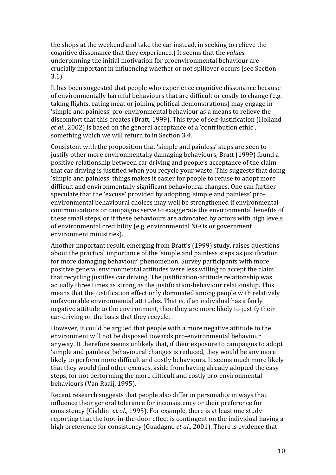the shops at the weekend and take the car instead, in seeking to relieve the cognitive dissonance that they experience.) It seems that the *values* underpinning the initial motivation for proenvironmental behaviour are crucially important in influencing whether or not spillover occurs (see Section 3.1).

It has been suggested that people who experience cognitive dissonance because of environmentally harmful behaviours that are difficult or costly to change (e.g. taking flights, eating meat or joining political demonstrations) may engage in 'simple and painless' pro‐environmental behaviour as a means to relieve the discomfort that this creates (Bratt, 1999). This type of self‐justification (Holland *et al*., 2002) is based on the general acceptance of a 'contribution ethic', something which we will return to in Section 3.4.

Consistent with the proposition that 'simple and painless' steps are seen to justify other more environmentally damaging behaviours, Bratt (1999) found a positive relationship between car driving and people's acceptance of the claim that car driving is justified when you recycle your waste. This suggests that doing 'simple and painless' things makes it easier for people to refuse to adopt more difficult and environmentally significant behavioural changes. One can further speculate that the 'excuse' provided by adopting 'simple and painless' pro‐ environmental behavioural choices may well be strengthened if environmental communications or campaigns serve to exaggerate the environmental benefits of these small steps, or if these behaviours are advocated by actors with high levels of environmental credibility (e.g. environmental NGOs or government environment ministries).

Another important result, emerging from Bratt's (1999) study, raises questions about the practical importance of the 'simple and painless steps as justification for more damaging behaviour' phenomenon. Survey participants with more positive general environmental attitudes were less willing to accept the claim that recycling justifies car driving. The justification‐attitude relationship was actually three times as strong as the justification‐behaviour relationship. This means that the justification effect only dominated among people with relatively unfavourable environmental attitudes. That is, if an individual has a fairly negative attitude to the environment, then they are more likely to justify their car-driving on the basis that they recycle.

However, it could be argued that people with a more negative attitude to the environment will not be disposed towards pro‐environmental behaviour anyway. It therefore seems unlikely that, if their exposure to campaigns to adopt 'simple and painless' behavioural changes is reduced, they would be any more likely to perform more difficult and costly behaviours. It seems much more likely that they would find other excuses, aside from having already adopted the easy steps, for not performing the more difficult and costly pro‐environmental behaviours (Van Raaij, 1995).

Recent research suggests that people also differ in personality in ways that influence their general tolerance for inconsistency or their preference for consistency (Cialdini *et al*., 1995). For example, there is at least one study reporting that the foot-in-the-door effect is contingent on the individual having a high preference for consistency (Guadagno *et al*., 2001). There is evidence that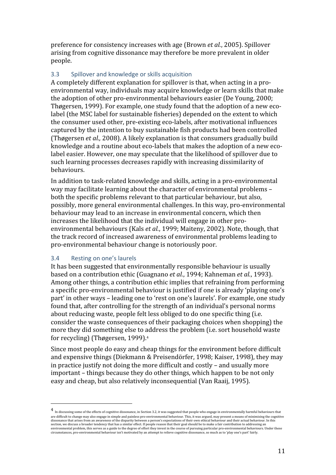preference for consistency increases with age (Brown *et al.*, 2005). Spillover arising from cognitive dissonance may therefore be more prevalent in older people.

#### 3.3 Spillover
and
knowledge
or skills
acquisition

A completely different explanation for spillover is that, when acting in a pro‐ environmental way, individuals may acquire knowledge or learn skills that make the adoption of other pro‐environmental behaviours easier (De Young, 2000; Thøgersen, 1999). For example, one study found that the adoption of a new eco‐ label (the MSC label for sustainable fisheries) depended on the extent to which the consumer used other, pre‐existing eco‐labels, after motivational influences captured by the intention to buy sustainable fish products had been controlled (Thøgersen *et al.,* 2008). A likely explanation is that consumers gradually build knowledge and a routine about eco-labels that makes the adoption of a new ecolabel easier. However, one may speculate that the likelihood of spillover due to such learning processes decreases rapidly with increasing dissimilarity of behaviours.

In addition to task-related knowledge and skills, acting in a pro-environmental way may facilitate learning about the character of environmental problems – both the specific problems relevant to that particular behaviour, but also, possibly, more general environmental challenges. In this way, pro‐environmental behaviour may lead to an increase in environmental concern, which then increases the likelihood that the individual will engage in other proenvironmental behaviours (Kals *et al.*, 1999; Maiteny, 2002). Note, though, that the track record of increased awareness of environmental problems leading to pro‐environmental behaviour change is notoriously poor.

#### 3.4 Resting
on
one's
laurels

It has been suggested that environmentally responsible behaviour is usually based on a contribution ethic (Guagnano *et al.*, 1994; Kahneman *et al.*, 1993). Among other things, a contribution ethic implies that refraining from performing a specific pro‐environmental behaviour is justified if one is already 'playing one's part' in other ways – leading one to 'rest on one's laurels'. For example, one study found that, after controlling for the strength of an individual's personal norms about reducing waste, people felt less obliged to do one specific thing (i.e. consider the waste consequences of their packaging choices when shopping) the more they did something else to address the problem (i.e. sort household waste for recycling) (Thøgersen, 1999).4

Since most people do easy and cheap things for the environment before difficult and expensive things (Diekmann & Preisendörfer, 1998; Kaiser, 1998), they may in practice justify not doing the more difficult and costly – and usually more important – things because they do other things, which happen to be not only easy and cheap, but also relatively inconsequential (Van Raaij, 1995).

<sup>4</sup> In discussing some of the effects of cognitive dissonance, in Section 3.2, it was suggested that people who engage in environmentally harmful behaviours that are difficult to change may also engage in simple and painless pro‐environmental behaviour. This, it was argued, may present a means of minimising the cognitive dissonance that arises from an awareness of the disparity between a person's expectations of their own ethical behaviour and their actual behaviour. In this<br>section, we discuss a broader tendency that has a similar effect. environmental problem, this serves as a guide to the degree of effort they invest in the course of pursuing particular pro-environmental behaviours. Under these<br>circumstances, pro-environmental behaviour isn't motivated by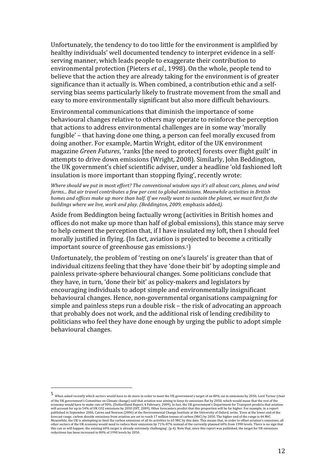Unfortunately, the tendency to do too little for the environment is amplified by healthy individuals' well documented tendency to interpret evidence in a selfserving manner, which leads people to exaggerate their contribution to environmental protection (Pieters *et al.*, 1998). On the whole, people tend to believe that the action they are already taking for the environment is of greater significance than it actually is. When combined, a contribution ethic and a self‐ serving bias seems particularly likely to frustrate movement from the small and easy to more environmentally significant but also more difficult behaviours.

Environmental communications that diminish the importance of some behavioural changes relative to others may operate to reinforce the perception that actions to address environmental challenges are in some way 'morally fungible' – that having done one thing, a person can feel morally excused from doing another. For example, Martin Wright, editor of the UK environment magazine *Green Futures*, 'ranks [the need to protect] forests over flight guilt' in attempts to drive down emissions (Wright, 2008). Similarly, John Beddington, the UK government's chief scientific adviser, under a headline 'old fashioned loft insulation is more important than stopping flying', recently wrote:

*Where should we put in* most *effort? The conventional wisdom says it's all about cars, planes, and wind farms... But air travel contributes a few per cent to global emissions. Meanwhile activities in British homes and offices make up more than half. If we really want to sustain the planet, we must* first *fix the buildings where we live, work and play. (Beddington, 2009,* emphasis added*).*

Aside from Beddington being factually wrong (activities in British homes and offices do not make up more than half of global emissions), this stance may serve to help cement the perception that, if I have insulated my loft, then I should feel morally justified in flying. (In fact, aviation is projected to become a critically important source of greenhouse gas emissions.5)

Unfortunately, the problem of 'resting on one's laurels' is greater than that of individual citizens feeling that they have 'done their bit' by adopting simple and painless private‐sphere behavioural changes. Some politicians conclude that they have, in turn, 'done their bit' as policy‐makers and legislators by encouraging individuals to adopt simple and environmentally insignificant behavioural changes. Hence, non‐governmental organisations campaigning for simple and painless steps run a double risk – the risk of advocating an approach that probably does not work, and the additional risk of lending credibility to politicians who feel they have done enough by urging the public to adopt simple behavioural changes.

<sup>5</sup> When asked recently which sectors would have to do more in order to meet the UK government's target of an 80% cut in emissions by 2050, Lord Turner (chair of the UK government's Committee on Climate change) said that aviation was aiming to keep its emissions flat by 2050, which would mean that the rest of the<br>economy would have to make cuts of 90%. (DeHavilland Report, 4 Feb will account for up to 54% of UK CO2 emissions by 2050 (DfT, 2009). Other forecasters predict that this proportion will be far higher. For example, in a report published in September 2006, Cairns and Newson (2006) at the Environmental Change Institute at the University of Oxford, write, 'Even at the lower end of the<br>forecast range, carbon dioxide emissions from aviation are set t Meanwhile, the UK is attempting to limit the carbon emissions of all its activities to 65 MtC by this date. This means that, in order to offset aviation's emissions, all<br>other sectors of the UK economy would need to reduce this can or will happen: the existing 60% target is already extremely challenging'. (p.4). Note that, since this report was published, the target for UK emissions reductions has been increased to 80% of 1990 levels by 2050.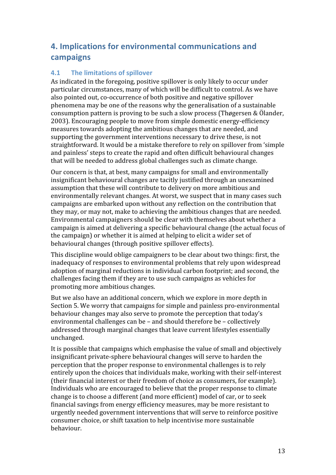# **4. Implications for environmental communications and campaigns**

## **4.1 The limitations of spillover**

As indicated in the foregoing, positive spillover is only likely to occur under particular circumstances, many of which will be difficult to control. As we have also pointed out, co‐occurrence of both positive and negative spillover phenomena may be one of the reasons why the generalisation of a sustainable consumption pattern is proving to be such a slow process (Thøgersen & Ölander, 2003). Encouraging people to move from simple domestic energy‐efficiency measures towards adopting the ambitious changes that are needed, and supporting the government interventions necessary to drive these, is not straightforward. It would be a mistake therefore to rely on spillover from 'simple and painless' steps to create the rapid and often difficult behavioural changes that will be needed to address global challenges such as climate change.

Our concern is that, at best, many campaigns for small and environmentally insignificant behavioural changes are tacitly justified through an unexamined assumption that these will contribute to delivery on more ambitious and environmentally relevant changes. At worst, we suspect that in many cases such campaigns are embarked upon without any reflection on the contribution that they may, or may not, make to achieving the ambitious changes that are needed. Environmental campaigners should be clear with themselves about whether a campaign is aimed at delivering a specific behavioural change (the actual focus of the campaign) or whether it is aimed at helping to elicit a wider set of behavioural changes (through positive spillover effects).

This discipline would oblige campaigners to be clear about two things: first, the inadequacy of responses to environmental problems that rely upon widespread adoption of marginal reductions in individual carbon footprint; and second, the challenges facing them if they are to use such campaigns as vehicles for promoting more ambitious changes.

But we also have an additional concern, which we explore in more depth in Section 5. We worry that campaigns for simple and painless pro‐environmental behaviour changes may also serve to promote the perception that today's environmental challenges can be – and should therefore be – collectively addressed through marginal changes that leave current lifestyles essentially unchanged.

It is possible that campaigns which emphasise the value of small and objectively insignificant private‐sphere behavioural changes will serve to harden the perception that the proper response to environmental challenges is to rely entirely upon the choices that individuals make, working with their self‐interest (their financial interest or their freedom of choice as consumers, for example). Individuals who are encouraged to believe that the proper response to climate change is to choose a different (and more efficient) model of car, or to seek financial savings from energy efficiency measures, may be more resistant to urgently needed government interventions that will serve to reinforce positive consumer choice, or shift taxation to help incentivise more sustainable behaviour.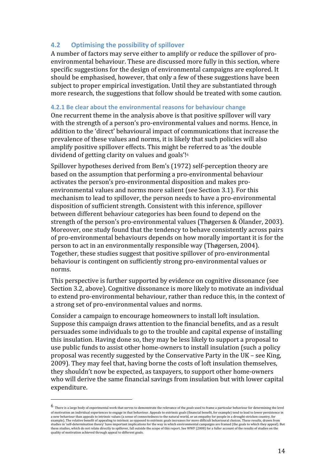## **4.2 Optimising the possibility of spillover**

A number of factors may serve either to amplify or reduce the spillover of pro‐ environmental behaviour. These are discussed more fully in this section, where specific suggestions for the design of environmental campaigns are explored. It should be emphasised, however, that only a few of these suggestions have been subject to proper empirical investigation. Until they are substantiated through more research, the suggestions that follow should be treated with some caution.

#### **4.2.1 Be clear about the environmental reasons for behaviour change**

One recurrent theme in the analysis above is that positive spillover will vary with the strength of a person's pro-environmental values and norms. Hence, in addition to the 'direct' behavioural impact of communications that increase the prevalence of these values and norms, it is likely that such policies will also amplify positive spillover effects. This might be referred to as 'the double dividend of getting clarity on values and goals'!6

Spillover hypotheses derived from Bem's (1972) self‐perception theory are based on the assumption that performing a pro‐environmental behaviour activates the person's pro‐environmental disposition and makes pro‐ environmental values and norms more salient (see Section 3.1). For this mechanism to lead to spillover, the person needs to have a pro‐environmental disposition of sufficient strength. Consistent with this inference, spillover between different behaviour categories has been found to depend on the strength of the person's pro‐environmental values (Thøgersen & Ölander, 2003). Moreover, one study found that the tendency to behave consistently across pairs of pro‐environmental behaviours depends on how morally important it is for the person to act in an environmentally responsible way (Thøgersen, 2004). Together, these studies suggest that positive spillover of pro‐environmental behaviour is contingent on sufficiently strong pro‐environmental values or norms.

This perspective is further supported by evidence on cognitive dissonance (see Section 3.2, above). Cognitive dissonance is more likely to motivate an individual to extend pro‐environmental behaviour, rather than reduce this, in the context of a strong set of pro‐environmental values and norms.

Consider a campaign to encourage homeowners to install loft insulation. Suppose this campaign draws attention to the financial benefits, and as a result persuades some individuals to go to the trouble and capital expense of installing this insulation. Having done so, they may be less likely to support a proposal to use public funds to assist other home‐owners to install insulation (such a policy proposal was recently suggested by the Conservative Party in the UK – see King, 2009). They may feel that, having borne the costs of loft insulation themselves, they shouldn't now be expected, as taxpayers, to support other home‐owners who will derive the same financial savings from insulation but with lower capital expenditure.

<sup>6</sup> There is a large body of experimental work that serves to demonstrate the relevance of the *goals* used to frame a particular behaviour for determining the level of motivation an individual experiences to engage in that behaviour. Appeals to extrinsic goals (financial benefit, for example) tend to lead to lower persistence in a new behaviour than appeals to intrinsic values (a sense of connectedness to the natural world, or an empathy for people in a drought‐stricken country, for example). The relative benefit of appealing to intrinsic as opposed to extrinsic goals increases for more difficult behavioural choices. These results, drawn from<br>studies in 'self-determination theory' have important impli these studies, which do not relate directly to spillover, fall outside the scope of this report. See WWF (2008) for a fuller account of the results of studies on the<br>quality of motivation achieved through appeal to differe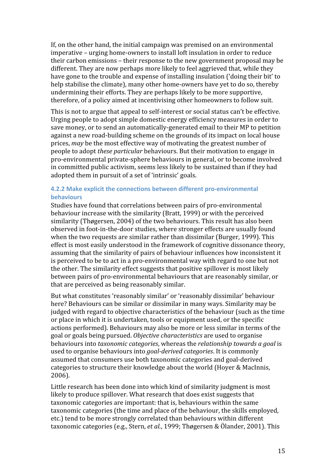If, on the other hand, the initial campaign was premised on an environmental imperative – urging home‐owners to install loft insulation in order to reduce their carbon emissions – their response to the new government proposal may be different. They are now perhaps more likely to feel aggrieved that, while they have gone to the trouble and expense of installing insulation ('doing their bit' to help stabilise the climate), many other home‐owners have yet to do so, thereby undermining their efforts. They are perhaps likely to be more supportive, therefore, of a policy aimed at incentivising other homeowners to follow suit.

This is not to argue that appeal to self-interest or social status can't be effective. Urging people to adopt simple domestic energy efficiency measures in order to save money, or to send an automatically-generated email to their MP to petition against a new road‐building scheme on the grounds of its impact on local house prices, *may* be the most effective way of motivating the greatest number of people to adopt *these particular* behaviours. But their motivation to engage in pro‐environmental private‐sphere behaviours in general, or to become involved in committed public activism, seems less likely to be sustained than if they had adopted them in pursuit of a set of 'intrinsic' goals.

#### **4.2.2 Make explicit the connections between different pro‐environmental behaviours**

Studies have found that correlations between pairs of pro‐environmental behaviour increase with the similarity (Bratt, 1999) or with the perceived similarity (Thøgersen, 2004) of the two behaviours. This result has also been observed in foot‐in‐the‐door studies, where stronger effects are usually found when the two requests are similar rather than dissimilar (Burger, 1999). This effect is most easily understood in the framework of cognitive dissonance theory, assuming that the similarity of pairs of behaviour influences how inconsistent it is perceived to be to act in a pro‐environmental way with regard to one but not the other. The similarity effect suggests that positive spillover is most likely between pairs of pro‐environmental behaviours that are reasonably similar, or that are perceived as being reasonably similar.

But what constitutes 'reasonably similar' or 'reasonably dissimilar' behaviour here? Behaviours can be similar or dissimilar in many ways. Similarity may be judged with regard to objective characteristics of the behaviour (such as the time or place in which it is undertaken, tools or equipment used, or the specific actions performed). Behaviours may also be more or less similar in terms of the goal or goals being pursued. *Objective characteristics* are used to organise behaviours into *taxonomic categories*, whereas the *relationship towards a goal* is used to organise behaviours into *goal-derived categories*. It is commonly assumed that consumers use both taxonomic categories and goal‐derived categories to structure their knowledge about the world (Hoyer & MacInnis, 2006).

Little research has been done into which kind of similarity judgment is most likely to produce spillover. What research that does exist suggests that taxonomic categories are important: that is, behaviours within the same taxonomic categories (the time and place of the behaviour, the skills employed, etc.) tend to be more strongly correlated than behaviours within different taxonomic categories (e.g., Stern, *et al.*, 1999; Thøgersen & Ölander, 2001). This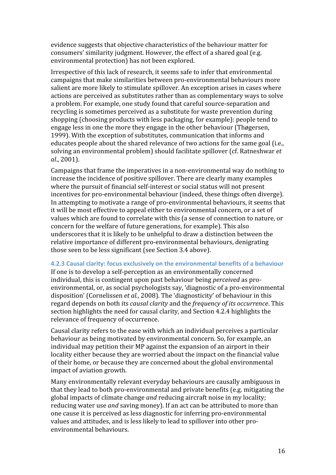evidence suggests that objective characteristics of the behaviour matter for consumers' similarity judgment. However, the effect of a shared goal (e.g. environmental protection) has not been explored.

Irrespective of this lack of research, it seems safe to infer that environmental campaigns that make similarities between pro‐environmental behaviours more salient are more likely to stimulate spillover. An exception arises in cases where actions are perceived as substitutes rather than as complementary ways to solve a problem. For example, one study found that careful source‐separation and recycling is sometimes perceived as a substitute for waste prevention during shopping (choosing products with less packaging, for example): people tend to engage less in one the more they engage in the other behaviour (Thøgersen, 1999). With the exception of substitutes, communication that informs and educates people about the shared relevance of two actions for the same goal (i.e., solving an environmental problem) should facilitate spillover (cf. Ratneshwar *et al*., 2001).

Campaigns that frame the imperatives in a non‐environmental way do nothing to increase the incidence of positive spillover. There are clearly many examples where the pursuit of financial self-interest or social status will not present incentives for pro-environmental behaviour (indeed, these things often diverge). In attempting to motivate a range of pro‐environmental behaviours, it seems that it will be most effective to appeal either to environmental concern, or a set of values which are found to correlate with this (a sense of connection to nature, or concern for the welfare of future generations, for example). This also underscores that it is likely to be unhelpful to draw a distinction between the relative importance of different pro‐environmental behaviours, denigrating those seen to be less significant (see Section 3.4 above).

#### **4.2.3 Causal clarity: focus exclusively on the environmental benefits of a behaviour**

If one is to develop a self‐perception as an environmentally concerned individual, this is contingent upon past behaviour being *perceived* as pro‐ environmental, or, as social psychologists say, 'diagnostic of a pro‐environmental disposition' (Cornelissen *et al.*, 2008). The 'diagnosticity' of behaviour in this regard depends on both its *causal clarity* and the *frequency of its occurrence*. This section highlights the need for causal clarity, and Section 4.2.4 highlights the relevance of frequency of occurrence.

Causal clarity refers to the ease with which an individual perceives a particular behaviour as being motivated by environmental concern. So, for example, an individual may petition their MP against the expansion of an airport in their locality either because they are worried about the impact on the financial value of their home, or because they are concerned about the global environmental impact of aviation growth.

Many environmentally relevant everyday behaviours are causally ambiguous in that they lead to both pro‐environmental and private benefits (e.g. mitigating the global impacts of climate change *and* reducing aircraft noise in my locality; reducing water use *and* saving money). If an act can be attributed to more than one cause it is perceived as less diagnostic for inferring pro‐environmental values and attitudes, and is less likely to lead to spillover into other pro‐ environmental behaviours.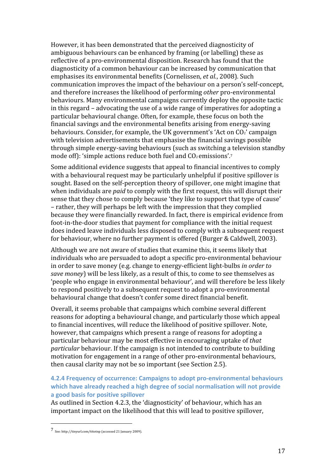However, it has been demonstrated that the perceived diagnosticity of ambiguous behaviours can be enhanced by framing (or labelling) these as reflective of a pro‐environmental disposition. Research has found that the diagnosticity of a common behaviour can be increased by communication that emphasises its environmental benefits (Cornelissen, *et al.*, 2008). Such communication improves the impact of the behaviour on a person's self‐concept, and therefore increases the likelihood of performing *other* pro‐environmental behaviours. Many environmental campaigns currently deploy the opposite tactic in this regard – advocating the use of a wide range of imperatives for adopting a particular behavioural change. Often, for example, these focus on both the financial savings and the environmental benefits arising from energy‐saving behaviours. Consider, for example, the UK government's 'Act on CO<sub>2</sub>' campaign with television advertisements that emphasise the financial savings possible through simple energy‐saving behaviours (such as switching a television standby mode off): 'simple actions reduce both fuel and  $CO<sub>2</sub>$  emissions'.<sup>7</sup>

Some additional evidence suggests that appeal to financial incentives to comply with a behavioural request may be particularly unhelpful if positive spillover is sought. Based on the self-perception theory of spillover, one might imagine that when individuals are *paid* to comply with the first request, this will disrupt their sense that they chose to comply because 'they like to support that type of cause' – rather, they will perhaps be left with the impression that they complied because they were financially rewarded. In fact, there is empirical evidence from foot-in-the-door studies that payment for compliance with the initial request does indeed leave individuals less disposed to comply with a subsequent request for behaviour, where no further payment is offered (Burger & Caldwell, 2003).

Although we are not aware of studies that examine this, it seems likely that individuals who are persuaded to adopt a specific pro‐environmental behaviour in order to save money (e.g. change to energy‐efficient light‐bulbs *in order to save money*) will be less likely, as a result of this, to come to see themselves as 'people who engage in environmental behaviour', and will therefore be less likely to respond positively to a subsequent request to adopt a pro‐environmental behavioural change that doesn't confer some direct financial benefit.

Overall, it seems probable that campaigns which combine several different reasons for adopting a behavioural change, and particularly those which appeal to financial incentives, will reduce the likelihood of positive spillover. Note, however, that campaigns which present a range of reasons for adopting a particular behaviour may be most effective in encouraging uptake of *that particular* behaviour. If the campaign is not intended to contribute to building motivation for engagement in a range of other pro‐environmental behaviours, then causal clarity may not be so important (see Section 2.5).

### **4.2.4 Frequency of occurrence: Campaigns to adopt pro‐environmental behaviours which have already reached a high degree of social normalisation will not provide a good basis for positive spillover**

As outlined in Section 4.2.3, the 'diagnosticity' of behaviour, which has an important impact on the likelihood that this will lead to positive spillover,

<sup>7</sup> See: http://tinyurl.com/66otnp (accessed 21 January 2009).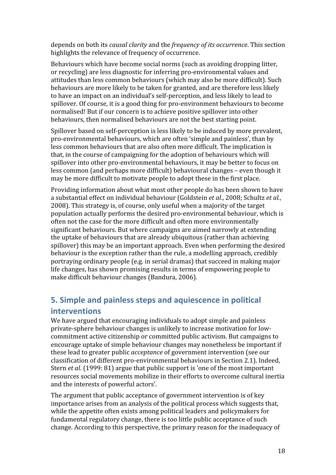depends on both its *causal clarity* and the *frequency of its occurrence*. This section highlights the relevance of frequency of occurrence.

Behaviours which have become social norms (such as avoiding dropping litter, or recycling) are less diagnostic for inferring pro‐environmental values and attitudes than less common behaviours (which may also be more difficult). Such behaviours are more likely to be taken for granted, and are therefore less likely to have an impact on an individual's self‐perception, and less likely to lead to spillover. Of course, it is a good thing for pro‐environment behaviours to become normalised! But if our concern is to achieve positive spillover into other behaviours, then normalised behaviours are not the best starting point.

Spillover based on self‐perception is less likely to be induced by more prevalent, pro‐environmental behaviours, which are often 'simple and painless', than by less common behaviours that are also often more difficult. The implication is that, in the course of campaigning for the adoption of behaviours which will spillover into other pro‐environmental behaviours, it may be better to focus on less common (and perhaps more difficult) behavioural changes – even though it may be more difficult to motivate people to adopt these in the first place.

Providing information about what most other people do has been shown to have a substantial effect on individual behaviour (Goldstein *et al*., 2008; Schultz *et al.*, 2008). This strategy is, of course, only useful when a majority of the target population actually performs the desired pro‐environmental behaviour, which is often not the case for the more difficult and often more environmentally significant behaviours. But where campaigns are aimed narrowly at extending the uptake of behaviours that are already ubiquitous (rather than achieving spillover) this may be an important approach. Even when performing the desired behaviour is the exception rather than the rule, a modelling approach, credibly portraying ordinary people (e.g. in serial dramas) that succeed in making major life changes, has shown promising results in terms of empowering people to make difficult behaviour changes (Bandura, 2006).

# **5. Simple and painless steps and aquiescence in political interventions**

We have argued that encouraging individuals to adopt simple and painless private‐sphere behaviour changes is unlikely to increase motivation for low‐ commitment active citizenship or committed public activism. But campaigns to encourage uptake of simple behaviour changes may nonetheless be important if these lead to greater public *acceptance* of government intervention (see our classification of different pro‐environmental behaviours in Section 2.1). Indeed, Stern *et al*. (1999: 81) argue that public support is 'one of the most important resources social movements mobilize in their efforts to overcome cultural inertia and the interests of powerful actors'.

The argument that public acceptance of government intervention is of key importance arises from an analysis of the political process which suggests that, while the appetite often exists among political leaders and policymakers for fundamental regulatory change, there is too little public acceptance of such change. According to this perspective, the primary reason for the inadequacy of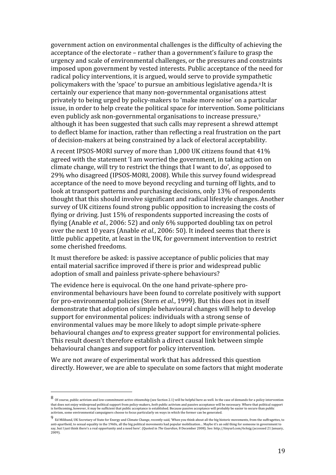government action on environmental challenges is the difficulty of achieving the acceptance of the electorate – rather than a government's failure to grasp the urgency and scale of environmental challenges, or the pressures and constraints imposed upon government by vested interests. Public acceptance of the need for radical policy interventions, it is argued, would serve to provide sympathetic policymakers with the 'space' to pursue an ambitious legislative agenda.8 It is certainly our experience that many non‐governmental organisations attest privately to being urged by policy‐makers to 'make more noise' on a particular issue, in order to help create the political space for intervention. Some politicians even publicly ask non-governmental organisations to increase pressure,<sup>9</sup> although it has been suggested that such calls may represent a shrewd attempt to deflect blame for inaction, rather than reflecting a real frustration on the part of decision‐makers at being constrained by a lack of electoral acceptability.

A recent IPSOS‐MORI survey of more than 1,000 UK citizens found that 41% agreed with the statement 'I am worried the government, in taking action on climate change, will try to restrict the things that I want to do', as opposed to 29% who disagreed (IPSOS‐MORI, 2008). While this survey found widespread acceptance of the need to move beyond recycling and turning off lights, and to look at transport patterns and purchasing decisions, only 13% of respondents thought that this should involve significant and radical lifestyle changes. Another survey of UK citizens found strong public opposition to increasing the costs of flying or driving. Just 15% of respondents supported increasing the costs of flying (Anable *et al.*, 2006: 52) and only 6% supported doubling tax on petrol over the next 10 years (Anable *et al.*, 2006: 50). It indeed seems that there is little public appetite, at least in the UK, for government intervention to restrict some cherished freedoms.

It must therefore be asked: is passive acceptance of public policies that may entail material sacrifice improved if there is prior and widespread public adoption of small and painless private‐sphere behaviours?

The evidence here is equivocal. On the one hand private-sphere proenvironmental behaviours have been found to correlate positively with support for pro‐environmental policies (Stern *et al.*, 1999). But this does not in itself demonstrate that adoption of simple behavioural changes will help to develop support for environmental polices: individuals with a strong sense of environmental values may be more likely to adopt simple private‐sphere behavioural changes *and* to express greater support for environmental policies. This result doesn't therefore establish a direct causal link between simple behavioural changes and support for policy intervention.

We are not aware of experimental work that has addressed this question directly. However, we are able to speculate on some factors that might moderate

 $8\,$  of course, public activism and low-commitment active citizenship (see Section 2.1) will be helpful here as well. In the case of demands for a policy intervention that does not enjoy widespread political support from policy-makers, *both* public activism and passive acceptance will be necessary. Where that political support is forthcoming, however, it may be sufficient that public acceptance is established. Because passive acceptance will probably be easier to secure than public activism, some environmental campaigners choose to focus particularly on ways in which the former can be generated.

<sup>9</sup> Ed Miliband, UK Secretary of State for Energy and Climate Change, recently said, 'When you think about all the big historic movements, from the suffragettes, to anti-apartheid, to sexual equality in the 1960s, all the big political movements had popular mobilisation... Maybe it's an odd thing for someone in government to say, but I just think there's a real opportunity and a need here'. (Quoted in *The Guardian,* 8 December 2008). See: http://tinyurl.com/6c6sjg (accessed 21 January,<br>2009).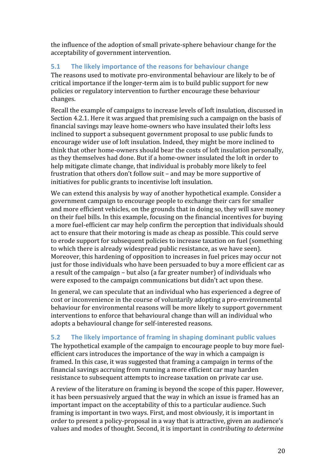the influence of the adoption of small private‐sphere behaviour change for the acceptability of government intervention.

## **5.1 The likely importance of the reasons for behaviour change**

The reasons used to motivate pro‐environmental behaviour are likely to be of critical importance if the longer‐term aim is to build public support for new policies or regulatory intervention to further encourage these behaviour changes.

Recall the example of campaigns to increase levels of loft insulation, discussed in Section 4.2.1. Here it was argued that premising such a campaign on the basis of financial savings may leave home‐owners who have insulated their lofts less inclined to support a subsequent government proposal to use public funds to encourage wider use of loft insulation. Indeed, they might be more inclined to think that other home‐owners should bear the costs of loft insulation personally, as they themselves had done. But if a home‐owner insulated the loft in order to help mitigate climate change, that individual is probably more likely to feel frustration that others don't follow suit – and may be more supportive of initiatives for public grants to incentivise loft insulation.

We can extend this analysis by way of another hypothetical example. Consider a government campaign to encourage people to exchange their cars for smaller and more efficient vehicles, on the grounds that in doing so, they will save money on their fuel bills. In this example, focusing on the financial incentives for buying a more fuel‐efficient car may help confirm the perception that individuals should act to ensure that their motoring is made as cheap as possible. This could serve to erode support for subsequent policies to increase taxation on fuel (something to which there is already widespread public resistance, as we have seen). Moreover, this hardening of opposition to increases in fuel prices may occur not just for those individuals who have been persuaded to buy a more efficient car as a result of the campaign – but also (a far greater number) of individuals who were exposed to the campaign communications but didn't act upon these.

In general, we can speculate that an individual who has experienced a degree of cost or inconvenience in the course of voluntarily adopting a pro‐environmental behaviour for environmental reasons will be more likely to support government interventions to enforce that behavioural change than will an individual who adopts a behavioural change for self‐interested reasons.

## **5.2 The likely importance of framing in shaping dominant public values**

The hypothetical example of the campaign to encourage people to buy more fuel‐ efficient cars introduces the importance of the way in which a campaign is framed. In this case, it was suggested that framing a campaign in terms of the financial savings accruing from running a more efficient car may harden resistance to subsequent attempts to increase taxation on private car use.

A review of the literature on framing is beyond the scope of this paper. However, it has been persuasively argued that the way in which an issue is framed has an important impact on the acceptability of this to a particular audience. Such framing is important in two ways. First, and most obviously, it is important in order to present a policy‐proposal in a way that is attractive, given an audience's values and modes of thought. Second, it is important in *contributing to determine*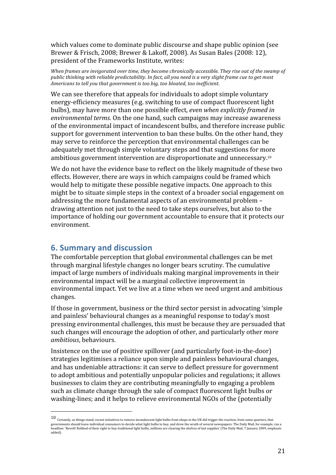which values come to dominate public discourse and shape public opinion (see Brewer & Frisch, 2008; Brewer & Lakoff, 2008). As Susan Bales (2008: 12), president of the Frameworks Institute, writes:

*When frames are invigorated over time, they become chronically accessible. They rise out of the swamp of public thinking with reliable predictability. In fact, all you need is a very slight frame cue to get most Americans to tell you that government is too big, too bloated, too inefficient.* 

We can see therefore that appeals for individuals to adopt simple voluntary energy‐efficiency measures (e.g. switching to use of compact fluorescent light bulbs), may have more than one possible effect, *even when explicitly framed in environmental terms.* On the one hand, such campaigns may increase awareness of the environmental impact of incandescent bulbs, and therefore increase public support for government intervention to ban these bulbs. On the other hand, they may serve to reinforce the perception that environmental challenges can be adequately met through simple voluntary steps and that suggestions for more ambitious government intervention are disproportionate and unnecessary.10

We do not have the evidence base to reflect on the likely magnitude of these two effects. However, there are ways in which campaigns could be framed which would help to mitigate these possible negative impacts. One approach to this might be to situate simple steps in the context of a broader social engagement on addressing the more fundamental aspects of an environmental problem – drawing attention not just to the need to take steps ourselves, but also to the importance of holding our government accountable to ensure that it protects our environment.

## **6. Summary and discussion**

The comfortable perception that global environmental challenges can be met through marginal lifestyle changes no longer bears scrutiny. The cumulative impact of large numbers of individuals making marginal improvements in their environmental impact will be a marginal collective improvement in environmental impact. Yet we live at a time when we need urgent and ambitious changes.

If those in government, business or the third sector persist in advocating 'simple and painless' behavioural changes as a meaningful response to today's most pressing environmental challenges, this must be because they are persuaded that such changes will encourage the adoption of other, and particularly other *more ambitious*, behaviours.

Insistence on the use of positive spillover (and particularly foot‐in‐the‐door) strategies legitimises a reliance upon simple and painless behavioural changes, and has undeniable attractions: it can serve to deflect pressure for government to adopt ambitious and potentially unpopular policies and regulations; it allows businesses to claim they are contributing meaningfully to engaging a problem such as climate change through the sale of compact fluorescent light bulbs or washing-lines; and it helps to relieve environmental NGOs of the (potentially

 $10$  Certainly, as things stand, recent initiatives to remove incandescent light bulbs from shops in the UK did trigger the reaction, from some quarters, that governments should leave individual consumers to decide what light bulbs to buy, and drew the wrath of several newspapers: The Daily Mail, for example, ran a headline: 'Revolt! Robbed of their right to buy traditional light bulbs, millions are clearing the shelves of last supplies' (The Daily Mail, 7 January 2009, emphasis added).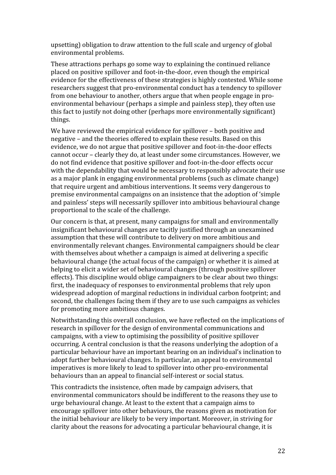upsetting) obligation to draw attention to the full scale and urgency of global environmental problems.

These attractions perhaps go some way to explaining the continued reliance placed on positive spillover and foot‐in‐the‐door, even though the empirical evidence for the effectiveness of these strategies is highly contested. While some researchers suggest that pro‐environmental conduct has a tendency to spillover from one behaviour to another, others argue that when people engage in pro‐ environmental behaviour (perhaps a simple and painless step), they often use this fact to justify not doing other (perhaps more environmentally significant) things.

We have reviewed the empirical evidence for spillover – both positive and negative – and the theories offered to explain these results. Based on this evidence, we do not argue that positive spillover and foot‐in‐the‐door effects cannot occur – clearly they do, at least under some circumstances. However, we do not find evidence that positive spillover and foot‐in‐the‐door effects occur with the dependability that would be necessary to responsibly advocate their use as a major plank in engaging environmental problems (such as climate change) that require urgent and ambitious interventions. It seems very dangerous to premise environmental campaigns on an insistence that the adoption of 'simple and painless' steps will necessarily spillover into ambitious behavioural change proportional to the scale of the challenge.

Our concern is that, at present, many campaigns for small and environmentally insignificant behavioural changes are tacitly justified through an unexamined assumption that these will contribute to delivery on more ambitious and environmentally relevant changes. Environmental campaigners should be clear with themselves about whether a campaign is aimed at delivering a specific behavioural change (the actual focus of the campaign) or whether it is aimed at helping to elicit a wider set of behavioural changes (through positive spillover effects). This discipline would oblige campaigners to be clear about two things: first, the inadequacy of responses to environmental problems that rely upon widespread adoption of marginal reductions in individual carbon footprint; and second, the challenges facing them if they are to use such campaigns as vehicles for promoting more ambitious changes.

Notwithstanding this overall conclusion, we have reflected on the implications of research in spillover for the design of environmental communications and campaigns, with a view to optimising the possibility of positive spillover occurring. A central conclusion is that the reasons underlying the adoption of a particular behaviour have an important bearing on an individual's inclination to adopt further behavioural changes. In particular, an appeal to environmental imperatives is more likely to lead to spillover into other pro‐environmental behaviours than an appeal to financial self‐interest or social status.

This contradicts the insistence, often made by campaign advisers, that environmental communicators should be indifferent to the reasons they use to urge behavioural change. At least to the extent that a campaign aims to encourage spillover into other behaviours, the reasons given as motivation for the initial behaviour are likely to be very important. Moreover, in striving for clarity about the reasons for advocating a particular behavioural change, it is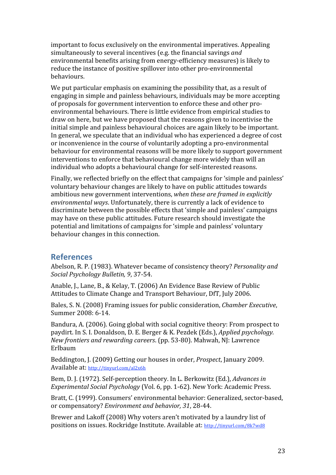important to focus exclusively on the environmental imperatives. Appealing simultaneously to several incentives (e.g. the financial savings *and* environmental benefits arising from energy-efficiency measures) is likely to reduce the instance of positive spillover into other pro‐environmental behaviours.

We put particular emphasis on examining the possibility that, as a result of engaging in simple and painless behaviours, individuals may be more accepting of proposals for government intervention to enforce these and other pro‐ environmental behaviours. There is little evidence from empirical studies to draw on here, but we have proposed that the reasons given to incentivise the initial simple and painless behavioural choices are again likely to be important. In general, we speculate that an individual who has experienced a degree of cost or inconvenience in the course of voluntarily adopting a pro‐environmental behaviour for environmental reasons will be more likely to support government interventions to enforce that behavioural change more widely than will an individual who adopts a behavioural change for self-interested reasons.

Finally, we reflected briefly on the effect that campaigns for 'simple and painless' voluntary behaviour changes are likely to have on public attitudes towards ambitious new government interventions, *when these are framed in explicitly environmental ways*. Unfortunately, there is currently a lack of evidence to discriminate between the possible effects that 'simple and painless' campaigns may have on these public attitudes. Future research should investigate the potential and limitations of campaigns for 'simple and painless' voluntary behaviour changes in this connection.

## **References**

Abelson, R. P. (1983). Whatever became of consistency theory? *Personality and Social Psychology Bulletin, 9*, 37‐54.

Anable, J., Lane, B., & Kelay, T. (2006) An Evidence Base Review of Public Attitudes to Climate Change and Transport Behaviour, DfT, July 2006.

Bales, S. N. (2008) Framing issues for public consideration, *Chamber Executive*, Summer 2008: 6‐14.

Bandura, A. (2006). Going global with social cognitive theory: From prospect to paydirt. In S. I. Donaldson, D. E. Berger & K. Pezdek (Eds.), *Applied psychology. New frontiers and rewarding careers*. (pp. 53‐80). Mahwah, NJ: Lawrence Erlbaum

Beddington, J. (2009) Getting our houses in order, *Prospect*, January 2009. Available at: http://tinyurl.com/al2x6h

Bem, D. J. (1972). Self‐perception theory. In L. Berkowitz (Ed.), *Advances in Experimental Social Psychology* (Vol. 6, pp. 1‐62). New York: Academic Press.

Bratt, C. (1999). Consumers' environmental behavior: Generalized, sector‐based, or compensatory? *Environment and behavior, 31*, 28‐44.

Brewer and Lakoff (2008) Why voters aren't motivated by a laundry list of positions on issues. Rockridge Institute. Available at: http://tinyurl.com/8k7wd8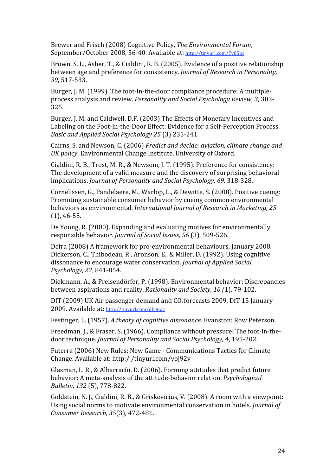Brewer and Frisch (2008) Cognitive Policy, *The Environmental Forum*, September/October 2008, 36-40. Available at: http://tinyurl.com/7v85pc

Brown, S. L., Asher, T., & Cialdini, R. B. (2005). Evidence of a positive relationship between age and preference for consistency. *Journal of Research in Personality, 39*, 517‐533.

Burger, J. M. (1999). The foot-in-the-door compliance procedure: A multipleprocess analysis and review. *Personality and Social Psychology Review, 3*, 303‐ 325.

Burger, J. M. and Caldwell, D.F. (2003) The Effects of Monetary Incentives and Labeling on the Foot-in-the-Door Effect: Evidence for a Self-Perception Process. *Basic and Applied Social Psychology 25* (3) 235‐241

Cairns, S. and Newson, C. (2006) *Predict and decide: aviation, climate change and UK policy*, Environmental Change Institute, University of Oxford.

Cialdini, R. B., Trost, M. R., & Newsom, J. T. (1995). Preference for consistency: The development of a valid measure and the discovery of surprising behavioral implications. *Journal of Personality and Social Psychology, 69,* 318‐328.

Cornelissen, G., Pandelaere, M., Warlop, L., & Dewitte, S. (2008). Positive cueing: Promoting sustainable consumer behavior by cueing common environmental behaviors as environmental. *International Journal of Research in Marketing, 25*  (1), 46‐55.

De Young, R. (2000). Expanding and evaluating motives for environmentally responsible behavior. *Journal of Social Issues, 56* (3), 509‐526.

Defra (2008) A framework for pro‐environmental behaviours, January 2008. Dickerson, C., Thibodeau, R., Aronson, E., & Miller, D. (1992). Using cognitive dissonance to encourage water conservation. *Journal of Applied Social Psychology, 22*, 841‐854.

Diekmann, A., & Preisendörfer, P. (1998). Environmental behavior: Discrepancies between aspirations and reality. *Rationality and Society, 10 (*1), 79‐102.

DfT (2009) UK Air passenger demand and  $CO<sub>2</sub>$  forecasts 2009, DfT 15 January 2009. Available at: http://tinyurl.com/dbg6qc

Festinger, L. (1957). *A theory of cognitive dissonance*. Evanston: Row Peterson.

Freedman, J., & Fraser, S. (1966). Compliance without pressure: The foot-in-thedoor technique. *Journal of Personality and Social Psychology, 4*, 195‐202.

Futerra (2006) New Rules: New Game ‐ Communications Tactics for Climate Change. Available at: http:/ /tinyurl.com/yoj92v

Glasman, L. R., & Albarracín, D. (2006). Forming attitudes that predict future behavior: A meta‐analysis of the attitude‐behavior relation. *Psychological Bulletin, 132* (5), 778‐822.

Goldstein, N. J., Cialdini, R. B., & Griskevicius, V. (2008). A room with a viewpoint: Using social norms to motivate environmental conservation in hotels. *Journal of Consumer Research, 35*(3), 472‐481.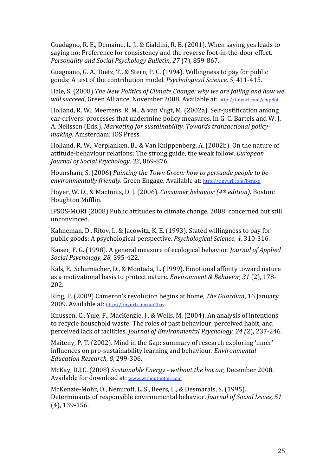Guadagno, R. E., Demaine, L. J., & Cialdini, R. B. (2001). When saying yes leads to saying no: Preference for consistency and the reverse foot-in-the-door effect. *Personality and Social Psychology Bulletin, 27* (7), 859‐867.

Guagnano, G. A., Dietz, T., & Stern, P. C. (1994). Willingness to pay for public goods: A test of the contribution model. *Psychological Science, 5*, 411‐415.

Hale, S. (2008) *The New Politics of Climate Change: why we are failing and how we will succeed*, Green Alliance, November 2008. Available at: http://tinyurl.com/cmp8ot

Holland, R. W., Meertens, R. M., & van Vugt, M. (2002a). Self‐justification among car-drivers: processes that undermine policy measures. In G. C. Bartels and W. J. A. Nelissen (Eds.), *Marketing for sustainability. Towards transactional policymaking.* Amsterdam: IOS Press.

Holland, R. W., Verplanken, B., & Van Knippenberg, A. (2002b). On the nature of attitude‐behaviour relations: The strong guide, the weak follow. *European Journal of Social Psychology, 32*, 869‐876.

Hounsham, S. (2006) *Painting the Town Green: how to persuade people to be*  environmentally friendly. Green Engage. Available at: http://tinyurl.com/bsrsxq

Hoyer, W. D., & MacInnis, D. J. (2006). *Consumer behavior (4th edition).* Boston: Houghton Mifflin.

IPSOS‐MORI (2008) Public attitudes to climate change, 2008: concerned but still unconvinced.

Kahneman, D., Ritov, I., & Jacowitz, K. E. (1993). Stated willingness to pay for public goods: A psychological perspective. *Psychological Science, 4,* 310‐316.

Kaiser, F. G. (1998). A general measure of ecological behavior. *Journal of Applied Social Psychology, 28,* 395‐422.

Kals, E., Schumacher, D., & Montada, L. (1999). Emotional affinity toward nature as a motivational basis to protect nature. *Environment & Behavior, 31* (2), 178‐ 202.

King, P. (2009) Cameron's revolution begins at home, *The Guardian*, 16 January 2009. Available at: http://tinyurl.com/an2fx6

Knussen, C., Yule, F., MacKenzie, J., & Wells, M. (2004). An analysis of intentions to recycle household waste: The roles of past behaviour, perceived habit, and perceived lack of facilities. *Journal of Environmental Psychology, 24 (*2), 237‐246.

Maiteny, P. T. (2002). Mind in the Gap: summary of research exploring 'inner' influences on pro‐sustainability learning and behaviour. *Environmental Education Research, 8*, 299‐306.

McKay, D.J.C. (2008) *Sustainable Energy without the hot air,* December 2008. Available for download at: www.withouthotair.com

McKenzie‐Mohr, D., Nemiroff, L. S., Beers, L., & Desmarais, S. (1995). Determinants of responsible environmental behavior. *Journal of Social Issues, 51*  (4), 139‐156.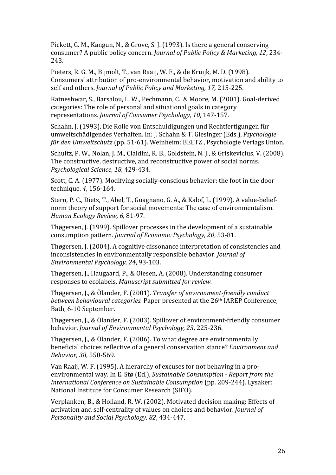Pickett, G. M., Kangun, N., & Grove, S. J. (1993). Is there a general conserving consumer? A public policy concern. *Journal of Public Policy & Marketing, 12*, 234‐ 243.

Pieters, R. G. M., Bijmolt, T., van Raaij, W. F., & de Kruijk, M. D. (1998). Consumers' attribution of pro‐environmental behavior, motivation and ability to self and others. *Journal of Public Policy and Marketing, 17,* 215‐225.

Ratneshwar, S., Barsalou, L. W., Pechmann, C., & Moore, M. (2001). Goal‐derived categories: The role of personal and situational goals in category representations. *Journal of Consumer Psychology, 10*, 147‐157.

Schahn, J. (1993). Die Rolle von Entschuldigungen und Rechtfertigungen für umweltschädigendes Verhalten. In: J. Schahn & T. Giesinger (Eds.), *Psychologie für den Umweltschutz* (pp. 51‐61). Weinheim: BELTZ , Psychologie Verlags Union.

Schultz, P. W., Nolan, J. M., Cialdini, R. B., Goldstein, N. J., & Griskevicius, V. (2008). The constructive, destructive, and reconstructive power of social norms. *Psychological Science, 18,* 429‐434.

Scott, C. A. (1977). Modifying socially‐conscious behavior: the foot in the door technique. *4*, 156‐164.

Stern, P. C., Dietz, T., Abel, T., Guagnano, G. A., & Kalof, L. (1999). A value‐belief‐ norm theory of support for social movements: The case of environmentalism. *Human Ecology Review, 6,* 81‐97.

Thøgersen, J. (1999). Spillover processes in the development of a sustainable consumption pattern. *Journal of Economic Psychology, 20*, 53‐81.

Thøgersen, J. (2004). A cognitive dissonance interpretation of consistencies and inconsistencies in environmentally responsible behavior. *Journal of Environmental Psychology, 24*, 93‐103.

Thøgersen, J., Haugaard, P., & Olesen, A. (2008). Understanding consumer responses to ecolabels. *Manuscript submitted for review.*

Thøgersen, J., & Ölander, F. (2001). *Transfer of environment-friendly conduct between behavioural categories.* Paper presented at the 26th IAREP Conference, Bath, 6‐10 September.

Thøgersen, J., & Ölander, F. (2003). Spillover of environment‐friendly consumer behavior. *Journal of Environmental Psychology, 23*, 225‐236.

Thøgersen, J., & Ölander, F. (2006). To what degree are environmentally beneficial choices reflective of a general conservation stance? *Environment and Behavior, 38*, 550‐569.

Van Raaij, W. F. (1995). A hierarchy of excuses for not behaving in a pro‐ environmental way. In E. Stø (Ed.), *Sustainable Consumption Report from the International Conference on Sustainable Consumption* (pp. 209‐244). Lysaker: National Institute for Consumer Research (SIFO).

Verplanken, B., & Holland, R. W. (2002). Motivated decision making: Effects of activation and self‐centrality of values on choices and behavior. *Journal of Personality and Social Psychology, 82*, 434‐447.